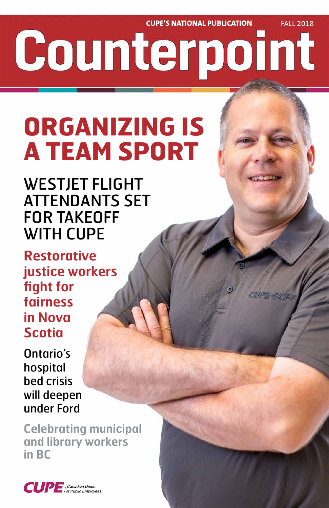**CUPE'S NATIONAL PUBLICATION FALL 2018** Counterpoint

# **ORGANIZING IS A TEAM SPORT**

WESTJET FLIGHT ATTENDANTS SET FOR TAKEOFF WITH CUPE

**Restorative justice workers fight for fairness in Nova Scotia**

Ontario's hospital

# bed crisis will deepen under Ford

## **Celebrating municipal and library workers in BC**



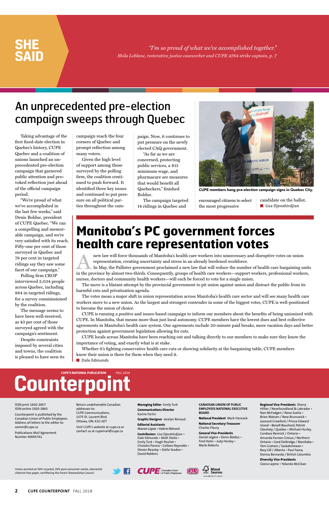Taking advantage of the first fixed-date election in Quebec's history, CUPE Quebec and a coalition of unions launched an unprecedented pre-election campaign that garnered public attention and provoked reflection just ahead of the official campaign period.

"We're proud of what we've accomplished in the last few weeks," said Denis Bolduc, president of CUPE Quebec. "We ran a compelling and memorable campaign, and we're very satisfied with its reach. Fifty-one per cent of those surveyed in Quebec and 78 per cent in targeted ridings say they saw some facet of our campaign."

Polling firm CROP interviewed 2,034 people across Quebec, including 884 in targeted ridings, for a survey commissioned by the coalition.

The message seems to have been well-received, as 43 per cent of those surveyed agreed with the campaign's sentiment.

Despite constraints imposed by several cities and towns, the coalition is pleased to have seen its campaign reach the four corners of Quebec and prompt reflection among many voters.

Given the high level of support among those surveyed by the polling firm, the coalition continued to push forward. It identified three key issues and continued to put pressure on all political parties throughout the campaign. Now, it continues to put pressure on the newly elected CAQ government.

"As far as we are concerned, protecting public services, a \$15 minimum wage, and pharmacare are measures that would benefit all Quebeckers," finished Bolduc.

The campaign targeted 14 ridings in Quebec and

encouraged citizens to select the most progressive

candidate on the ballot. ■ **Lisa Djevahirdjian**

*"I'm so proud of what we've accomplished together." Shila Leblanc, restorative justice caseworker and CUPE 4764 strike captain, p. 7*

new law will force thousands of Manitoba's health care workers into unnecessary and disruptive votes on union representation, creating uncertainty and stress in an already burdened workforce.

## **SHE SAID**

Union-printed on 50% recycled, 30% post-consumer waste, elemental chlorine-free paper, certified by the Forest Stewardship Council.





**2 CUPE COUNTERPOINT** FALL 2018

#### ISSN print 1920-2857 ISSN online 1920-2865

Counterpoint is published by the Canadian Union of Public Employees. Address all letters to the editor to: comm@cupe.ca

Publications Mail Agreement Number 40005741

Return undeliverable Canadian addresses to: CUPE Communications, 1375 St. Laurent Blvd. Ottawa, ON, K1G 0Z7

Visit CUPE's website at cupe.ca or contact us at cupemail@cupe.ca

**Managing Editor** Emily Turk **Communications Director** Karine Fortin

**Graphic Designer** Jocelyn Renaud

**Editorial Assistants** Manon Lajoie • Valérie Ménard

**Contributors** Lisa Djevahirdjian • Dale Edmunds • Matt Stella • Emily Turk • Hugh Pouliot • Chandra Pasma • Colleen Reynolds • Steven Beasley • Stella Yeadon • David Robbins

**CANADIAN UNION OF PUBLIC EMPLOYEES NATIONAL EXECUTIVE BOARD**

**National President** Mark Hancock

**National Secretary-Treasurer** Charles Fleury

**General Vice-Presidents** Daniel Légère • Denis Bolduc • Fred Hahn • Judy Henley • Marle Roberts

#### **Regional Vice-Presidents** Sherry Hillier / Newfoundland & Labrador • Nan McFadgen / Nova Scotia • Brien Watson / New Brunswick • Leonard Crawford / Prince Edward Island • Benoît Bouchard, Patrick Gloutney / Quebec • Michael Hurley, Candace Rennick / Ontario • Amanda Farrow-Giroux / Northern Ontario • Gord Delbridge / Manitoba • Tom Graham / Saskatchewan • Rory Gill / Alberta • Paul Faoro, Donisa Bernardo / British Columbia

**Diversity Vice-Presidents** Gloria Lepine • Yolanda McClean

# Counterpoint

In May, the Pallister government proclaimed a new law that will reduce the number of health care bargaining units in the province by almost two-thirds. Consequently, groups of health care workers—support workers, professional workers, nurses, doctors and community health workers—will each be forced to vote for a single union.

The move is a blatant attempt by the provincial government to pit union against union and distract the public from its harmful cuts and privatization agenda.

The votes mean a major shift in union representation across Manitoba's health care sector and will see many health care workers move to a new union. As the largest and strongest contender in some of the biggest votes, CUPE is well-positioned to become the union of choice.

CUPE is running a positive and issues-based campaign to inform our members about the benefits of being unionized with CUPE. In Manitoba, that means more than just local autonomy. CUPE members have the lowest dues and best collective agreements in Manitoba's health care system. Our agreements include 20-minute paid breaks, more vacation days and better protection against government legislation allowing for cuts.

CUPE locals across Manitoba have been reaching out and talking directly to our members to make sure they know the importance of voting, and exactly what is at stake.

Whether it's fighting conservative health care cuts or showing solidarity at the bargaining table, CUPE members know their union is there for them when they need it.

■ **Dale Edmunds** 

# An unprecedented pre-election campaign sweeps through Quebec

# **Manitoba's PC government forces health care representation votes**



CUPE members hang pre-election campaign signs in Quebec City.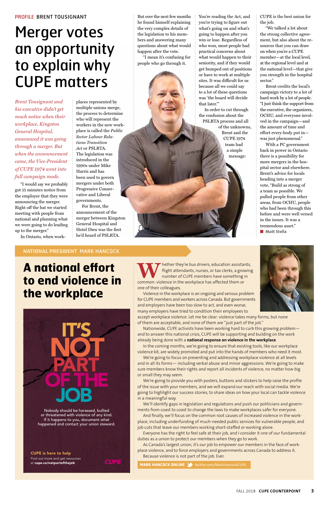# **A national effort to end violence in the workplace**



#### **NATIONAL PRESIDENT** MARK HANCOCK

*Brent Tousignant and his executive didn't get much notice when their workplace, Kingston General Hospital, announced it was going through a merger. But when the announcement came, the Vice-President of CUPE 1974 went into full campaign mode.* 

"I would say we probably got 15 minutes notice from the employer that they were announcing the merger. Right off the bat we started meeting with people from national and planning what we were going to do leading up to the merger."

In Ontario, when work-

places represented by multiple unions merge, the process to determine who will represent the workers in the new workplace is called the *Public Sector Labour Relations Transition Act* or PSLRTA. The legislation was introduced in the 1990s under Mike Harris and has been used to govern mergers under both Progressive Conservative and Liberal governments.

CUPE is the best union for the job.

For Brent, the announcement of the merger between Kingston General Hospital and Hotel Dieu was the first he'd heard of PSLRTA.

But over the next few months he found himself explaining the very complex details of the legislation to his members and answering many questions about what would happen after the vote.

> With a PC government back in power in Ontario there is a possibility for more mergers in the hospital sector and elsewhere. Brent's advice for locals heading into a merger vote, "Build as strong of a team as possible. We pulled people from other areas, from OCHU, people who had been through this before and were well versed in the issues. It was a tremendous asset." ■ **Matt Stella**

"I mean it's confusing for people who go through it.

You're reading the Act, and you're trying to figure out what's going on and what's going to happen after you win or lose. Regardless of who won, most people had practical concerns about what would happen to their seniority, and if they would get bumped out of positions or have to work at multiple sites. It was difficult for us because all we could say to a lot of these questions was 'the board will decide that later.'"

**WALLANDER SERVIET ASSESS THE CONFIDENTIFY STATES IN THE COMMON-VIOLENCE THE WORKPLACE has affected them or** flight attendants, nurses, or tax clerks, a growing number of CUPE members have something in common: violence in the workplace has affected them or one of their colleagues.

In order to cut through the confusion about the PSLRTA process and all of the unknowns, Brent and the CUPE 1974 team had a simple message:

"We talked a lot about the strong collective agreement, but also about the resources that you can draw on when you're a CUPE member—at the local level, at the regional level and at the national level—that give you strength in the hospital sector."

Brent credits the local's campaign victory to a lot of hard work by a lot of people. "I just think the support from the executive, the organizers, OCHU, and everyone involved in the campaign—and the amount of time and effort every-body put in was just phenomenal."

We're going to provide you with posters, buttons and stickers to help raise the profile of the issue with your members, and we will expand our reach with social media. We're going to highlight our success stories, to share ideas on how your local can tackle violence in a meaningful way.

#### PROFILE BRENT TOUSIGNANT

# Merger votes an opportunity to explain why CUPE matters

Nobody should be harassed, bullied or threatened with violence of any kind. If it happens to you, document what happened and contact your union steward.

#### CUPE is here to help

Find out more and get resources at cupe.ca/notpartofthejob

Violence in the workplace is an ongoing and serious problem for CUPE members and workers across Canada. But governments and employers have been too slow to act, and even worse, many employers have tried to condition their employees to

accept workplace violence. Let me be clear: violence takes many forms, but none of them are acceptable, and none of them are "just part of the job."

Nationwide, CUPE activists have been working hard to curb this growing problem and to answer this national crisis, CUPE will be supporting and building on the work already being done with a **national response on violence in the workplace**.

In the coming months, we're going to ensure that existing tools, like our workplace violence kit, are widely promoted and put into the hands of members who need it most.

We're going to focus on preventing and addressing workplace violence at all levels and in all its forms— including verbal abuse and minor aggressions. We're going to make sure members know their rights and report all incidents of violence, no matter how big

or small they may seem.

We'll identify gaps in legislation and regulations and push our politicians and governments from coast to coast to change the laws to make workplaces safer for everyone.

And finally, we'll focus on the common root causes of increased violence in the workplace, including underfunding of much-needed public services for vulnerable people, and job cuts that leave our members working short-staffed or working alone.

Everyone has the right to feel safe at their job, and I consider it one of our fundamental duties as a union to protect our members when they go to work.

As Canada's largest union, it's our job to empower our members in the face of workplace violence, and to force employers and governments across Canada to address it. Because violence is not part of the job. Ever.

**MARK HANCOCK ONLINE 3** twitter.com/MarkHancockCUPE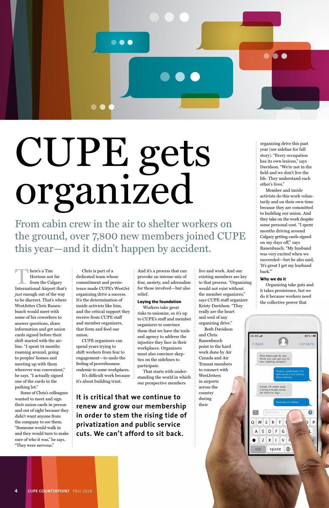**There's a Tim<br>
International Airport that's**<br> **International Airport that's** Hortons not far from the Calgary *just* enough out of the way to be discreet. That's where WestJetter Chris Rauenbusch would meet with some of his coworkers to answer questions, share information and get union cards signed before their shift started with the airline. "I spent 14 months roaming around, going to peoples' homes and meeting up with them wherever was convenient,"

he says. "I actually signed one of the cards in the parking lot."

Some of Chris's colleagues wanted to meet and sign their union cards in person and out of sight because they didn't want anyone from the company to see them. "Someone would walk in and they would turn to make sure of who it was," he says. "They were nervous."

Chris is part of a dedicated team whose commitment and persistence made CUPE's WestJet organizing drive a success. It's the determination of inside activists like him, and the critical support they receive from CUPE staff and member organizers, that form and feed our union.

Both Davidson and Chris  $10:45$  and 80%(画 Rauenbusch < Back Contacts point to the hard work done by Air How many ppl do you<br>think you can get out to<br>the meeting tonight? Canada and Air Transat members to connect with WestJetters in airports Great. I'll make sure<br>I bring enough cards<br>for them to sign. across the country during And lots of coffee! their ٠ 45/MMS E  $R$ W  $T$ P S D  $F$ G Z X  $\mathsf{C}$ **V** ⊕ 123 space

CUPE organizers can spend years trying to shift workers from fear to engagement—to undo the feeling of powerlessness endemic to some workplaces.

It's difficult work because it's about building trust.

And it's a process that can provoke an intense mix of fear, anxiety, and adrenaline for those involved—but also relief.

#### **Laying the foundation**

Workers take great risks to unionize, so it's up to CUPE's staff and member organizers to convince them that we have the tools and agency to address the injustice they face in their workplaces. Organizers must also convince skeptics on the sidelines to participate.

That starts with under-

standing the world in which our prospective members

live and work. And our existing members are key to that process. "Organizing would not exist without the member organizers," says CUPE staff organizer Kristy Davidson. "They really are the heart and soul of any organizing drive."

organizing drive this past year (see sidebar for full story). "Every occupation has its own lexicon," says Davidson. "We're not in the field and we don't live the life. They understand each other's lives."

Member and inside activists do this work voluntarily and on their own time because they are committed to building our union. And they take on the work despite some personal cost. "I spent months driving around Calgary getting cards signed on my days off," says Rauenbusch. "My husband was very excited when we succeeded—but he also said, 'It's great I get my husband back.'"

#### **Why we do it**

Organizing take guts and it takes persistence, but we do it because workers need the collective power that



**It is critical that we continue to renew and grow our membership in order to stem the rising tide of privatization and public service cuts. We can't afford to sit back.** 

**4 CUPE COUNTERPOINT** FALL 2018



# CUPE gets organized

From cabin crew in the air to shelter workers on the ground, over 7,800 new members joined CUPE this year—and it didn't happen by accident.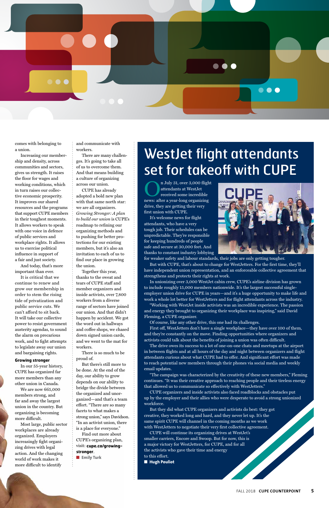

comes with belonging to a union.

Increasing our membership and density, across communities and sectors, gives us strength. It raises the floor for wages and working conditions, which in turn raises our collective economic prosperity. It improves our shared resources and the programs that support CUPE members in their toughest moments. It allows workers to speak with one voice in defence of public services and workplace rights. It allows us to exercise political influence in support of a fair and just society.

And today, that's more important than ever.

It is critical that we continue to renew and grow our membership in order to stem the rising tide of privatization and public service cuts. We can't afford to sit back. It will take our collective power to resist government austerity agendas, to sound the alarm on precarious work, and to fight attempts to legislate away our union and bargaining rights.

#### **Growing stronger**

In our 55-year history, CUPE has organized far

more members than any other union in Canada.

We are now 665,000 members strong, and far and away the largest union in the country. But organizing is becoming more difficult.

Most large, public sector workplaces are already organized. Employers increasingly fight organizing drives with legal action. And the changing world of work makes it more difficult to identify

and communicate with workers.

> n July 31, over 3,000 flight attendants at WestJet received some incredible news: after a year-long organizing drive, they are getting their very first union with CUPE.

There are many challenges. It's going to take all of us to overcome them. And that means building a culture of organizing across our union.

CUPE has already adopted a bold new plan with that same north star: we are all organizers. *Growing Stronger: A plan to build our union* is CUPE's roadmap to refining our organizing methods and to pushing for better protections for our existing members, but it's also an invitation to each of us to find our place in growing the union.

Together this year, thanks to the sweat and tears of CUPE staff and member organizers and inside activists, over 7,800 workers from a diverse range of sectors have joined our union. And that didn't happen by accident. We got the word out in hallways and coffee shops, we chased down signed union cards, and we went to the mat for workers.

There is so much to be proud of.

But there's still more to be done. At the end of the

day, our ability to grow depends on our ability to bridge the divide between the organized and unorganized—and that's a team effort. "There are so many facets to what makes a strong union," says Davidson. "In an activist union, there is a place for everyone." Find out more about CUPE's organizing plan, visit: **cupe.ca/growingstronger**. ■ **Emily Turk**

# WestJet flight attendants set for takeoff with CUPE

It's welcome news for flight attendants, who have a very tough job. Their schedules can be unpredictable. They're responsible for keeping hundreds of people safe and secure at 30,000 feet. And thanks to constant industry lobbying



for weaker safety and labour standards, their jobs are only getting tougher. But with CUPE, that's about to change for WestJetters. For the first time, they'll have independent union representation, and an enforceable collective agreement that strengthens and protects their rights at work.

In unionizing over 3,000 WestJet cabin crew, CUPE's airline division has grown to include roughly 15,000 members nationwide. It's the largest successful singleemployer union drive for CUPE in years—and it's a huge opportunity to make life and work a whole lot better for WestJetters and for flight attendants across the industry.

"Working with WestJet inside activists was an incredible experience. The passion and energy they brought to organizing their workplace was inspiring," said David Fleming, a CUPE organizer.

Of course, like any other drive, this one had its challenges.

First off, WestJetters don't have a single workplace—they have over 100 of them, and they're constantly on the move. Finding opportunities where organizers and activists could talk about the benefits of joining a union was often difficult.

The drive owes its success to a lot of one-on-one chats and meetups at the airport in between flights and at all hours of the day and night between organizers and flight attendants curious about what CUPE had to offer. And significant effort was made to reach potential new members through their phones via social media and weekly email updates.

"The campaign was characterized by the creativity of these new members," Fleming continues. "It was their creative approach to reaching people and their tireless energy that allowed us to communicate so effectively with WestJetters."

CUPE organizers and inside activists also faced roadblocks and obstacles put up by the employer and their allies who were desperate to avoid a strong unionized workforce.

But they did what CUPE organizers and activists do best: they got creative, they worked long and hard, and they never let up. It's the same spirit CUPE will channel in the coming months as we work with WestJetters to negotiate their very first collective agreement. CUPE will continue its organizing drives at WestJet's smaller carriers, Encore and Swoop. But for now, this is a major victory for WestJetters, for CUPE, and for all the activists who gave their time and energy

to this effort. ■ **Hugh Pouliot**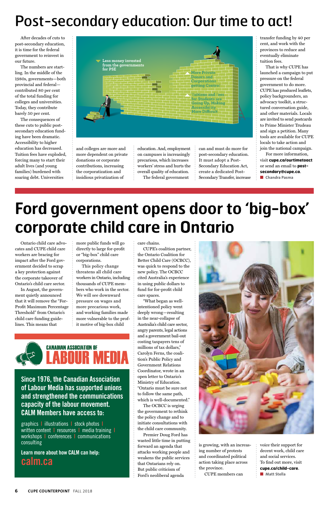Ontario child care advocates and CUPE child care workers are bracing for impact after the Ford government decided to scrap a key protection against the corporate takeover of Ontario's child care sector.

In August, the government quietly announced that it will remove the "For-Profit Maximum Percentage Threshold" from Ontario's child care funding guidelines. This means that

more public funds will go directly to large for-profit or "big-box" child care corporations.

This policy change threatens all child care workers in Ontario, including thousands of CUPE members who work in the sector. We will see downward pressure on wages and more precarious work, and working families made more vulnerable to the profit motive of big-box child

**CANADIAN ASSOCIATION OF** 

care chains.

CUPE's coalition partner, the Ontario Coalition for Better Child Care (OCBCC), was quick to respond to the new policy. The OCBCC cited Australia's experience in using public dollars to fund for for-profit child care spaces.

> voice their support for decent work, child care and social services. To find out more, visit **cupe.ca/child-care**. ■ **Matt Stella**

#### **6 CUPE COUNTERPOINT** FALL 2018

"What began as wellintentioned policy went deeply wrong—resulting in the near-collapse of Australia's child care sector, angry parents, legal actions and a government bail-out costing taxpayers tens of millions of tax dollars," Carolyn Ferns, the coalition's Public Policy and Government Relations Coordinator, wrote in an open letter to Ontario's Ministry of Education. "Ontario must be sure not to follow the same path, which is well-documented." The OCBCC is urging the government to rethink the policy change and to initiate consultations with the child care community. Premier Doug Ford has wasted little time in putting forward an agenda that attacks working people and weakens the public services that Ontarians rely on. But public criticism of



Ford's neoliberal agenda

For more information, visit **cupe.ca/ourtimetoact** or send an email to **postsecondary@cupe.ca**. ■ **Chandra Pasma** 

is growing, with an increasing number of protests and coordinated political action taking place across the province.

CUPE members can

After decades of cuts to post-secondary education, it is time for the federal government to reinvest in our future.

The numbers are startling. In the middle of the 1980s, governments—both provincial and federal contributed 80 per cent of the total funding for colleges and universities. Today, they contribute barely 50 per cent.

The consequences of these cuts to public postsecondary education funding have been dramatic. Accessibility to higher education has decreased. Tuition fees have exploded, forcing many to start their adult lives (and young families) burdened with soaring debt. Universities

and colleges are more and more dependent on private donations or corporate contributions, increasing the corporatization and insidious privatization of

education. And, employment on campuses is increasingly precarious, which increases workers' stress and hurts the overall quality of education. The federal government

can and must do more for post-secondary education. It must adopt a Post-Secondary Education Act, create a dedicated Post-Secondary Transfer, increase transfer funding by 40 per cent, and work with the provinces to reduce and eventually eliminate tuition fees.

That is why CUPE has launched a campaign to put pressure on the federal government to do more. CUPE has produced leaflets, policy backgrounders, an advocacy toolkit, a structured conversation guide, and other materials. Locals are invited to send postcards to Prime Minister Trudeau and sign a petition. Many tools are available for CUPE locals to take action and join the national campaign.

# **Ford government opens door to 'big-box' corporate child care in Ontario**

**Since 1976, the Canadian Association of Labour Media has supported unions and strengthened the communications capacity of the labour movement. CALM Members have access to:**

graphics **|** illustrations **|** stock photos **|** written content **|** resources **|** media training **|** workshops **|** conferences **|** communications consulting

**Learn more about how CALM can help: calm.ca** 

# Post-secondary education: Our time to act!

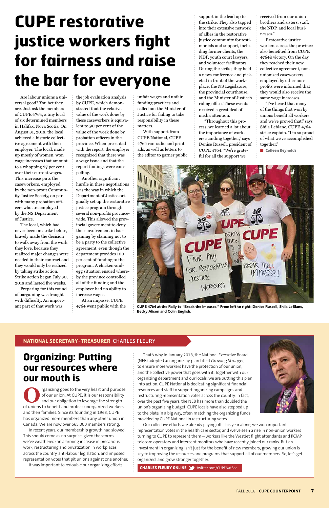Are labour unions a universal good? You bet they are. Just ask the members of CUPE 4764, a tiny local of six determined members in Halifax, Nova Scotia. On August 31, 2018, the local achieved a historic collective agreement with their employer. The local, made up mostly of women, won wage increases that amount to a whopping 27 per cent over their current wages. This increase puts the caseworkers, employed by the non-profit Community Justice Society, on par with many probation officers who are employed by the NS Department of Justice.

The local, which had never been on strike before, bravely made the decision to walk away from the work they love, because they realized major changes were needed in their contract and they would only be realized by taking strike action. Strike action began July 30, 2018 and lasted five weeks.

Preparing for this round of bargaining was fraught with difficulty. An important part of that work was

the job evaluation analysis by CUPE, which demonstrated that the relative value of the work done by these caseworkers is equivalent to 90 per cent of the value of the work done by probation officers in the province. When presented with the report, the employer recognized that there was a wage issue and that the report findings were compelling.

Another significant hurdle in these negotiations was the way in which the Department of Justice originally set up the restorative justice program through several non-profits provincewide. This allowed the provincial government to deny their involvement in bargaining by claiming not to be a party to the collective agreement, even though the department provides 100 per cent of funding to the program. A chicken-andegg situation ensued whereby the province controlled all of the funding and the employer had no ability to increase wages.

At an impasse, CUPE 4764 went public with the

rganizing goes to the very heart and purpose of our union. At CUPE, it is our responsibility and our obligation to leverage the strength of unions to benefit and protect unorganized workers and their families. Since its founding in 1963, CUPE has organized more members than any other union in Canada. We are now over 665,000 members strong.

unfair wages and unfair funding practices and called out the Minister of Justice for failing to take responsibility in these matters.

With support from CUPE National, CUPE 4764 ran radio and print ads, as well as letters to the editor to garner public support in the lead up to the strike. They also tapped into their extensive network of allies in the restorative justice community for testimonials and support, including former clients, the NDP, youth court lawyers, and volunteer facilitators. During the strike, they held a news conference and picketed in front of the workplace, the NS Legislature, the provincial courthouse, and the Minister of Justice's riding office. These events received a great deal of media attention.

"Throughout this process, we learned a lot about the importance of workers standing together," says Denise Russell, president of CUPE 4764. "We're grateful for all the support we

received from our union brothers and sisters, staff, the NDP, and local businesses."

Restorative justice workers across the province also benefited from CUPE 4764's victory. On the day they reached their new collective agreement, nonunionized caseworkers employed by other nonprofits were informed that they would also receive the same wage increases.

"I've heard that many of the things first won by unions benefit all workers and we've proved that," says Shila Leblanc, CUPE 4764 strike captain. "I'm so proud of what we've accomplished together."

■ **Colleen Reynolds** 

## **Organizing: Putting our resources where**

### **our mouth is**

In recent years, our membership growth had slowed. This should come as no surprise, given the storms we've weathered: an alarming increase in precarious work, restructuring and privatization in workplaces across the country, anti-labour legislation, and imposed representation votes that pit unions against one another. It was important to redouble our organizing efforts.

#### **NATIONAL SECRETARY-TREASURER** CHARLES FLEURY

That's why in January 2018, the National Executive Board (NEB) adopted an organizing plan titled Growing Stronger, to ensure more workers have the protection of our union, and the collective power that goes with it. Together with our organizing department and our locals, we are putting this plan into action. CUPE National is dedicating significant financial resources and staff to support organizing campaigns and restructuring representation votes across the country. In fact, over the past five years, the NEB has more than doubled the union's organizing budget. CUPE locals have also stepped up to the plate in a big way, often matching the organizing funds provided by CUPE National in restructuring votes.



Our collective efforts are already paying off. This year alone, we won important representation votes in the health care sector, and we've seen a rise in non-union workers turning to CUPE to represent them—workers like the WestJet flight attendants and RCMP telecom operators and intercept monitors who have recently joined our ranks. But an investment in organizing isn't just for the benefit of new members; growing our union is key to improving the resources and programs that support all of our members. So, let's get organized, and grow stronger together.

**CHARLES FLEURY ONLINE** twitter.com/CUPENatSec

# **CUPE restorative justice workers fight for fairness and raise the bar for everyone**



CUPE 4764 at the Rally to "Break the Impasse." From left to right: Denise Russell, Shila LeBlanc, Becky Alison and Colin English.